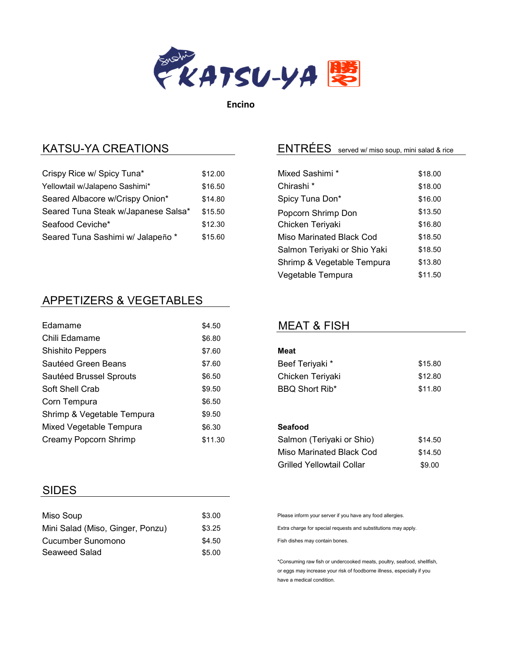

Encino

## KATSU-YA CREATIONS

| Crispy Rice w/ Spicy Tuna*          | \$12.00 |
|-------------------------------------|---------|
| Yellowtail w/Jalapeno Sashimi*      | \$16.50 |
| Seared Albacore w/Crispy Onion*     | \$14.80 |
| Seared Tuna Steak w/Japanese Salsa* | \$15.50 |
| Seafood Ceviche*                    | \$12.30 |
| Seared Tuna Sashimi w/ Jalapeño *   | \$15.60 |

## APPETIZERS & VEGETABLES

| <b>F</b> damame<br>\$4.50            |         |
|--------------------------------------|---------|
| Chili Edamame<br>\$6.80              |         |
| <b>Shishito Peppers</b><br>\$7.60    |         |
| Sautéed Green Beans<br>\$7.60        |         |
| Sautéed Brussel Sprouts<br>\$6.50    |         |
| Soft Shell Crab<br>\$9.50            |         |
| Corn Tempura<br>\$6.50               |         |
| Shrimp & Vegetable Tempura<br>\$9.50 |         |
| Mixed Vegetable Tempura<br>\$6.30    |         |
| Creamy Popcorn Shrimp                | \$11.30 |

#### SIDES

| Miso Soup                        | \$3.00 |
|----------------------------------|--------|
| Mini Salad (Miso, Ginger, Ponzu) | \$3.25 |
| Cucumber Sunomono                | \$4.50 |
| Seaweed Salad                    | \$5.00 |

# ENTRÉES\_served w/ miso soup, mini salad & rice

| Mixed Sashimi *              | \$18.00 |
|------------------------------|---------|
| Chirashi <sup>*</sup>        | \$18.00 |
| Spicy Tuna Don*              | \$16.00 |
| Popcorn Shrimp Don           | \$13.50 |
| Chicken Teriyaki             | \$16.80 |
| Miso Marinated Black Cod     | \$18.50 |
| Salmon Teriyaki or Shio Yaki | \$18.50 |
| Shrimp & Vegetable Tempura   | \$13.80 |
| Vegetable Tempura            | \$11.50 |

### MEAT & FISH

## Meat Beef Teriyaki \* \$15.80 Chicken Teriyaki **\$12.80** BBQ Short Rib\* \$11.80

#### Seafood

| Salmon (Teriyaki or Shio)        | \$14.50 |
|----------------------------------|---------|
| Miso Marinated Black Cod         | \$14.50 |
| <b>Grilled Yellowtail Collar</b> | \$9.00  |

Please inform your server if you have any food allergies.

Extra charge for special requests and substitutions may apply.

Fish dishes may contain bones.

\*Consuming raw fish or undercooked meats, poultry, seafood, shellfish, or eggs may increase your risk of foodborne illness, especially if you have a medical condition.